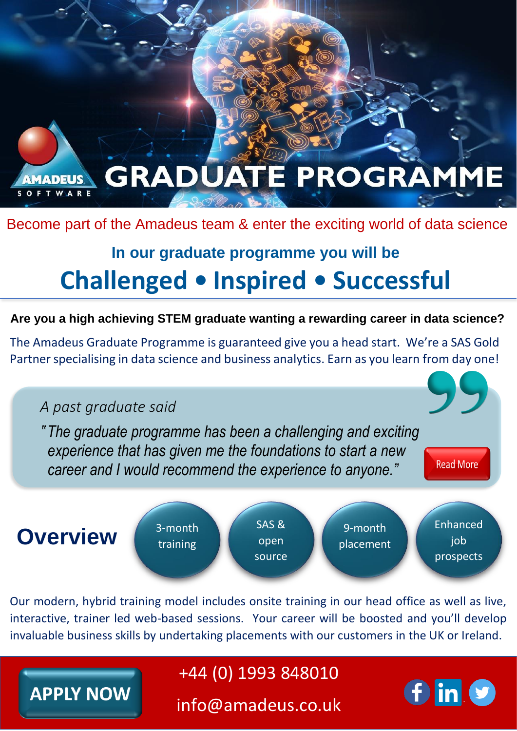

### Become part of the Amadeus team & enter the exciting world of data science

# **In our graduate programme you will be Challenged ● Inspired ● Successful**

**Are you a high achieving STEM graduate wanting a rewarding career in data science?**

The Amadeus Graduate Programme is guaranteed give you a head start. We're a SAS Gold Partner specialising in data science and business analytics. Earn as you learn from day one!

## *A past graduate said*

**APPLY NOW** 

*''The graduate programme has been a challenging and exciting experience that has given me the foundations to start a new career and I would recommend the experience to anyone."*



Our modern, hybrid training model includes onsite training in our head office as well as live, interactive, trainer led web-based sessions. Your career will be boosted and you'll develop invaluable business skills by undertaking placements with our customers in the UK or Ireland.

## +44 (0) 1993 848010

info@amadeus.co.uk